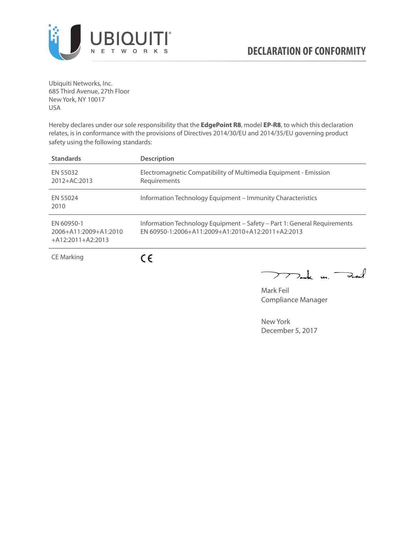

Ubiquiti Networks, Inc. 685 Third Avenue, 27th Floor New York, NY 10017 USA

Hereby declares under our sole responsibility that the **EdgePoint R8**, model **EP-R8**, to which this declaration relates, is in conformance with the provisions of Directives 2014/30/EU and 2014/35/EU governing product safety using the following standards:

| <b>Standards</b>                                           | <b>Description</b>                                                                                                            |
|------------------------------------------------------------|-------------------------------------------------------------------------------------------------------------------------------|
| EN 55032<br>$2012 + AC:2013$                               | Electromagnetic Compatibility of Multimedia Equipment - Emission<br>Requirements                                              |
| EN 55024<br>2010                                           | Information Technology Equipment – Immunity Characteristics                                                                   |
| FN 60950-1<br>2006+A11:2009+A1:2010<br>$+A12:2011+A2:2013$ | Information Technology Equipment – Safety – Part 1: General Requirements<br>FN 60950-1:2006+A11:2009+A1:2010+A12:2011+A2:2013 |
| <b>CE Marking</b>                                          |                                                                                                                               |

Tak m. Fail  $\searrow$ 

Mark Feil Compliance Manager

New York December 5, 2017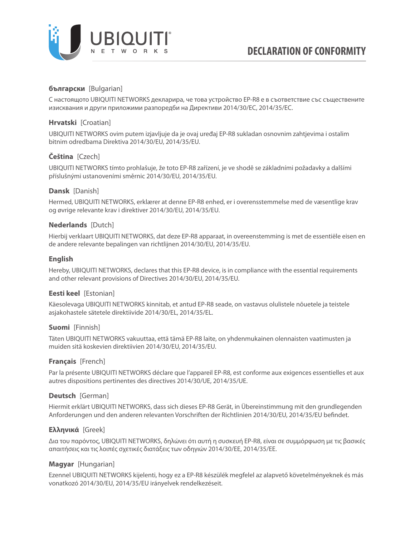

# **български** [Bulgarian]

С настоящото UBIQUITI NETWORKS декларира, че това устройство EP-R8 е в съответствие със съществените изисквания и други приложими разпоредби на Директиви 2014/30/ЕС, 2014/35/ЕС.

## **Hrvatski** [Croatian]

UBIQUITI NETWORKS ovim putem izjavljuje da je ovaj uređaj EP-R8 sukladan osnovnim zahtjevima i ostalim bitnim odredbama Direktiva 2014/30/EU, 2014/35/EU.

# **Čeština** [Czech]

UBIQUITI NETWORKS tímto prohlašuje, že toto EP-R8 zařízení, je ve shodě se základními požadavky a dalšími příslušnými ustanoveními směrnic 2014/30/EU, 2014/35/EU.

### **Dansk** [Danish]

Hermed, UBIQUITI NETWORKS, erklærer at denne EP-R8 enhed, er i overensstemmelse med de væsentlige krav og øvrige relevante krav i direktiver 2014/30/EU, 2014/35/EU.

### **Nederlands** [Dutch]

Hierbij verklaart UBIQUITI NETWORKS, dat deze EP-R8 apparaat, in overeenstemming is met de essentiële eisen en de andere relevante bepalingen van richtlijnen 2014/30/EU, 2014/35/EU.

### **English**

Hereby, UBIQUITI NETWORKS, declares that this EP-R8 device, is in compliance with the essential requirements and other relevant provisions of Directives 2014/30/EU, 2014/35/EU.

# **Eesti keel** [Estonian]

Käesolevaga UBIQUITI NETWORKS kinnitab, et antud EP-R8 seade, on vastavus olulistele nõuetele ja teistele asjakohastele sätetele direktiivide 2014/30/EL, 2014/35/EL.

#### **Suomi** [Finnish]

Täten UBIQUITI NETWORKS vakuuttaa, että tämä EP-R8 laite, on yhdenmukainen olennaisten vaatimusten ja muiden sitä koskevien direktiivien 2014/30/EU, 2014/35/EU.

#### **Français** [French]

Par la présente UBIQUITI NETWORKS déclare que l'appareil EP-R8, est conforme aux exigences essentielles et aux autres dispositions pertinentes des directives 2014/30/UE, 2014/35/UE.

# **Deutsch** [German]

Hiermit erklärt UBIQUITI NETWORKS, dass sich dieses EP-R8 Gerät, in Übereinstimmung mit den grundlegenden Anforderungen und den anderen relevanten Vorschriften der Richtlinien 2014/30/EU, 2014/35/EU befindet.

# **Ελληνικά** [Greek]

Δια του παρόντος, UBIQUITI NETWORKS, δηλώνει ότι αυτή η συσκευή EP-R8, είναι σε συμμόρφωση με τις βασικές απαιτήσεις και τις λοιπές σχετικές διατάξεις των οδηγιών 2014/30/EE, 2014/35/EE.

### **Magyar** [Hungarian]

Ezennel UBIQUITI NETWORKS kijelenti, hogy ez a EP-R8 készülék megfelel az alapvető követelményeknek és más vonatkozó 2014/30/EU, 2014/35/EU irányelvek rendelkezéseit.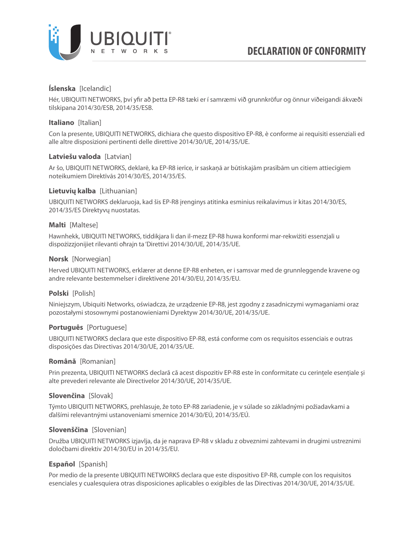

# **Íslenska** [Icelandic]

Hér, UBIQUITI NETWORKS, því yfir að þetta EP-R8 tæki er í samræmi við grunnkröfur og önnur viðeigandi ákvæði tilskipana 2014/30/ESB, 2014/35/ESB.

## **Italiano** [Italian]

Con la presente, UBIQUITI NETWORKS, dichiara che questo dispositivo EP-R8, è conforme ai requisiti essenziali ed alle altre disposizioni pertinenti delle direttive 2014/30/UE, 2014/35/UE.

### **Latviešu valoda** [Latvian]

Ar šo, UBIQUITI NETWORKS, deklarē, ka EP-R8 ierīce, ir saskaņā ar būtiskajām prasībām un citiem attiecīgiem noteikumiem Direktīvās 2014/30/ES, 2014/35/ES.

### **Lietuvių kalba** [Lithuanian]

UBIQUITI NETWORKS deklaruoja, kad šis EP-R8 įrenginys atitinka esminius reikalavimus ir kitas 2014/30/ES, 2014/35/ES Direktyvų nuostatas.

### **Malti** [Maltese]

Hawnhekk, UBIQUITI NETWORKS, tiddikjara li dan il-mezz EP-R8 huwa konformi mar-rekwiżiti essenzjali u dispożizzjonijiet rilevanti oħrajn ta 'Direttivi 2014/30/UE, 2014/35/UE.

### **Norsk** [Norwegian]

Herved UBIQUITI NETWORKS, erklærer at denne EP-R8 enheten, er i samsvar med de grunnleggende kravene og andre relevante bestemmelser i direktivene 2014/30/EU, 2014/35/EU.

# **Polski** [Polish]

Niniejszym, Ubiquiti Networks, oświadcza, że urządzenie EP-R8, jest zgodny z zasadniczymi wymaganiami oraz pozostałymi stosownymi postanowieniami Dyrektyw 2014/30/UE, 2014/35/UE.

#### **Português** [Portuguese]

UBIQUITI NETWORKS declara que este dispositivo EP-R8, está conforme com os requisitos essenciais e outras disposições das Directivas 2014/30/UE, 2014/35/UE.

#### **Română** [Romanian]

Prin prezenta, UBIQUITI NETWORKS declară că acest dispozitiv EP-R8 este în conformitate cu cerințele esențiale și alte prevederi relevante ale Directivelor 2014/30/UE, 2014/35/UE.

# **Slovenčina** [Slovak]

Týmto UBIQUITI NETWORKS, prehlasuje, že toto EP-R8 zariadenie, je v súlade so základnými požiadavkami a ďalšími relevantnými ustanoveniami smernice 2014/30/EÚ, 2014/35/EÚ.

#### **Slovenščina** [Slovenian]

Družba UBIQUITI NETWORKS izjavlja, da je naprava EP-R8 v skladu z obveznimi zahtevami in drugimi ustreznimi določbami direktiv 2014/30/EU in 2014/35/EU.

# **Español** [Spanish]

Por medio de la presente UBIQUITI NETWORKS declara que este dispositivo EP-R8, cumple con los requisitos esenciales y cualesquiera otras disposiciones aplicables o exigibles de las Directivas 2014/30/UE, 2014/35/UE.